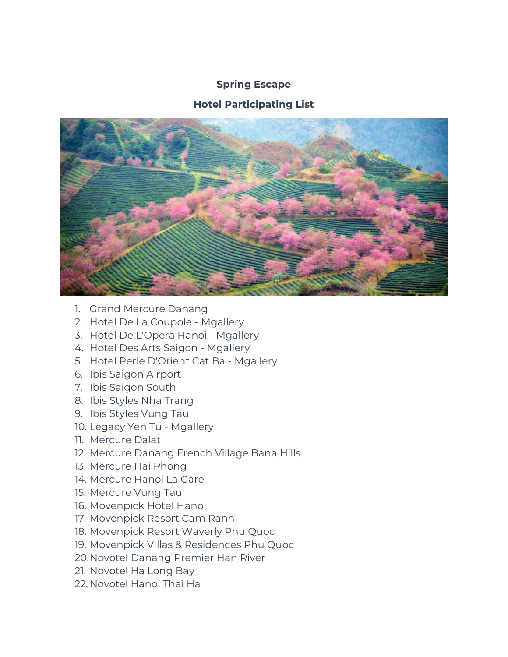## **Spring Escape**

## **Hotel Participating List**



- 1. Grand Mercure Danang
- 2. Hotel De La Coupole Mgallery
- 3. Hotel De L'Opera Hanoi Mgallery
- 4. Hotel Des Arts Saigon Mgallery
- 5. Hotel Perle D'Orient Cat Ba Mgallery
- 6. Ibis Saigon Airport
- 7. Ibis Saigon South
- 8. Ibis Styles Nha Trang
- 9. Ibis Styles Vung Tau
- 10. Legacy Yen Tu Mgallery
- 11. Mercure Dalat
- 12. Mercure Danang French Village Bana Hills
- 13. Mercure Hai Phong
- 14. Mercure Hanoi La Gare
- 15. Mercure Vung Tau
- 16. Movenpick Hotel Hanoi
- 17. Movenpick Resort Cam Ranh
- 18. Movenpick Resort Waverly Phu Quoc
- 19. Movenpick Villas & Residences Phu Quoc
- 20.Novotel Danang Premier Han River
- 21. Novotel Ha Long Bay
- 22. Novotel Hanoi Thai Ha